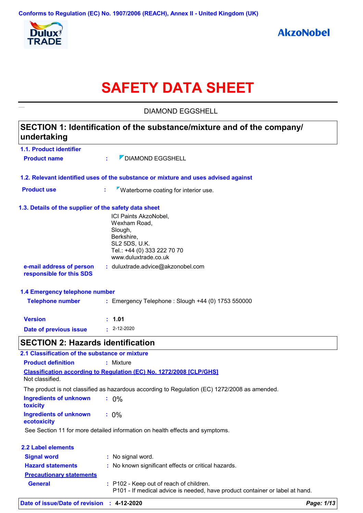

# **SAFETY DATA SHEET**

**1.1. Product identifier 1.3. Details of the supplier of the safety data sheet 1.2. Relevant identified uses of the substance or mixture and uses advised against SECTION 1: Identification of the substance/mixture and of the company/ undertaking Date of previous issue :** 2-12-2020 ICI Paints AkzoNobel, Wexham Road, Slough, Berkshire, SL2 5DS, U.K. Tel.: +44 (0) 333 222 70 70 www.duluxtrade.co.uk **e-mail address of person responsible for this SDS :** duluxtrade.advice@akzonobel.com **1.4 Emergency telephone number Version : 1.01 Product name :**  $\sqrt{ }$  DIAMOND EGGSHELL **Product use : Waterborne coating for interior use.**  DIAMOND EGGSHELL **Telephone number :** Emergency Telephone : Slough +44 (0) 1753 550000 **SECTION 2: Hazards identification Ingredients of unknown toxicity :** 0% **Ingredients of unknown ecotoxicity :** 0% **Classification according to Regulation (EC) No. 1272/2008 [CLP/GHS] 2.1 Classification of the substance or mixture Product definition :** Mixture Not classified. The product is not classified as hazardous according to Regulation (EC) 1272/2008 as amended. See Section 11 for more detailed information on health effects and symptoms. **2.2 Label elements Signal word : Hazard statements : Precautionary statements** : No signal word. : No known significant effects or critical hazards. **General :** P102 - Keep out of reach of children.

P101 - If medical advice is needed, have product container or label at hand.

| Date of issue/Date of revision : 4-12-2020 |  | Page: 1/13 |
|--------------------------------------------|--|------------|
|--------------------------------------------|--|------------|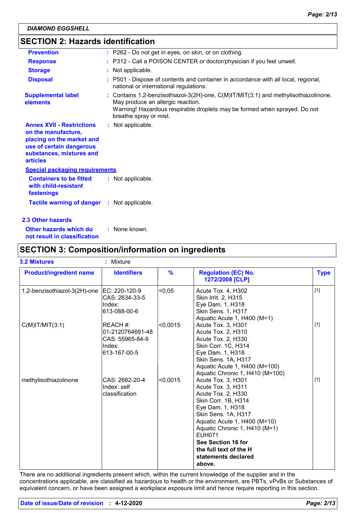# **SECTION 2: Hazards identification**

| <b>Prevention</b>                                                                                                                                               | : P262 - Do not get in eyes, on skin, or on clothing.                                                                                                                                                                                |
|-----------------------------------------------------------------------------------------------------------------------------------------------------------------|--------------------------------------------------------------------------------------------------------------------------------------------------------------------------------------------------------------------------------------|
| <b>Response</b>                                                                                                                                                 | : P312 - Call a POISON CENTER or doctor/physician if you feel unwell.                                                                                                                                                                |
| <b>Storage</b>                                                                                                                                                  | : Not applicable.                                                                                                                                                                                                                    |
| <b>Disposal</b>                                                                                                                                                 | : P501 - Dispose of contents and container in accordance with all local, regional,<br>national or international regulations.                                                                                                         |
| <b>Supplemental label</b><br>elements                                                                                                                           | : Contains $1,2$ -benzisothiazol-3(2H)-one, $C(M)IT/MIT(3:1)$ and methylisothiazolinone.<br>May produce an allergic reaction.<br>Warning! Hazardous respirable droplets may be formed when sprayed. Do not<br>breathe spray or mist. |
| <b>Annex XVII - Restrictions</b><br>on the manufacture,<br>placing on the market and<br>use of certain dangerous<br>substances, mixtures and<br><b>articles</b> | : Not applicable.                                                                                                                                                                                                                    |
| <b>Special packaging requirements</b>                                                                                                                           |                                                                                                                                                                                                                                      |
| <b>Containers to be fitted</b><br>with child-resistant<br>fastenings                                                                                            | : Not applicable.                                                                                                                                                                                                                    |
| <b>Tactile warning of danger : Not applicable.</b>                                                                                                              |                                                                                                                                                                                                                                      |
|                                                                                                                                                                 |                                                                                                                                                                                                                                      |

#### **2.3 Other hazards**

**Other hazards which do : not result in classification** : None known.

# **SECTION 3: Composition/information on ingredients**

| <b>3.2 Mixtures</b>            | : Mixture                                                                  |               |                                                                                                                                                                                                                                                                                                     |             |
|--------------------------------|----------------------------------------------------------------------------|---------------|-----------------------------------------------------------------------------------------------------------------------------------------------------------------------------------------------------------------------------------------------------------------------------------------------------|-------------|
| <b>Product/ingredient name</b> | <b>Identifiers</b>                                                         | $\frac{9}{6}$ | <b>Regulation (EC) No.</b><br>1272/2008 [CLP]                                                                                                                                                                                                                                                       | <b>Type</b> |
| 1,2-benzisothiazol-3(2H)-one   | EC: 220-120-9<br>CAS: 2634-33-5<br>Index:<br>613-088-00-6                  | < 0.05        | Acute Tox. 4, H302<br><b>Skin Irrit. 2, H315</b><br>Eye Dam. 1, H318<br>Skin Sens. 1, H317<br>Aquatic Acute 1, H400 (M=1)                                                                                                                                                                           | $[1]$       |
| $C(M)$ IT/MIT $(3:1)$          | IREACH #:<br>01-2120764691-48<br>CAS: 55965-84-9<br>Index:<br>613-167-00-5 | < 0,0015      | Acute Tox. 3, H301<br>Acute Tox. 2, H310<br>Acute Tox. 2, H330<br>Skin Corr. 1C, H314<br>Eye Dam. 1, H318<br>Skin Sens. 1A, H317<br>Aquatic Acute 1, H400 (M=100)<br>Aquatic Chronic 1, H410 (M=100)                                                                                                | $[1]$       |
| methylisothiazolinone          | CAS: 2682-20-4<br>Index: self<br>classification                            | < 0,0015      | Acute Tox. 3, H301<br>Acute Tox. 3, H311<br>Acute Tox. 2, H330<br>Skin Corr. 1B, H314<br>Eye Dam. 1, H318<br>Skin Sens. 1A, H317<br>Aquatic Acute 1, H400 (M=10)<br>Aquatic Chronic 1, H410 (M=1)<br><b>FUH071</b><br>See Section 16 for<br>the full text of the H<br>statements declared<br>above. | [1]         |

There are no additional ingredients present which, within the current knowledge of the supplier and in the concentrations applicable, are classified as hazardous to health or the environment, are PBTs, vPvBs or Substances of equivalent concern, or have been assigned a workplace exposure limit and hence require reporting in this section.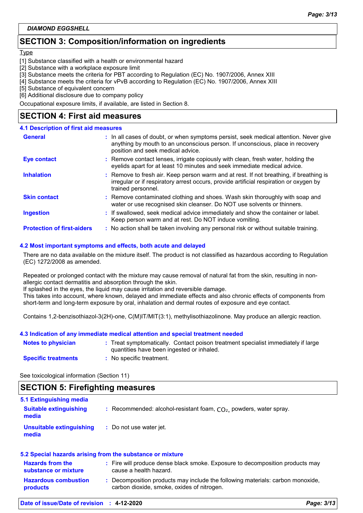# **SECTION 3: Composition/information on ingredients**

#### Type

- [1] Substance classified with a health or environmental hazard
- [2] Substance with a workplace exposure limit
- [3] Substance meets the criteria for PBT according to Regulation (EC) No. 1907/2006, Annex XIII
- [4] Substance meets the criteria for vPvB according to Regulation (EC) No. 1907/2006, Annex XIII
- [5] Substance of equivalent concern
- [6] Additional disclosure due to company policy

Occupational exposure limits, if available, are listed in Section 8.

### **SECTION 4: First aid measures**

#### **4.1 Description of first aid measures**

| <b>General</b>                    | : In all cases of doubt, or when symptoms persist, seek medical attention. Never give<br>anything by mouth to an unconscious person. If unconscious, place in recovery<br>position and seek medical advice. |
|-----------------------------------|-------------------------------------------------------------------------------------------------------------------------------------------------------------------------------------------------------------|
| <b>Eye contact</b>                | : Remove contact lenses, irrigate copiously with clean, fresh water, holding the<br>eyelids apart for at least 10 minutes and seek immediate medical advice.                                                |
| <b>Inhalation</b>                 | : Remove to fresh air. Keep person warm and at rest. If not breathing, if breathing is<br>irregular or if respiratory arrest occurs, provide artificial respiration or oxygen by<br>trained personnel.      |
| <b>Skin contact</b>               | : Remove contaminated clothing and shoes. Wash skin thoroughly with soap and<br>water or use recognised skin cleanser. Do NOT use solvents or thinners.                                                     |
| <b>Ingestion</b>                  | : If swallowed, seek medical advice immediately and show the container or label.<br>Keep person warm and at rest. Do NOT induce vomiting.                                                                   |
| <b>Protection of first-aiders</b> | : No action shall be taken involving any personal risk or without suitable training.                                                                                                                        |

#### **4.2 Most important symptoms and effects, both acute and delayed**

There are no data available on the mixture itself. The product is not classified as hazardous according to Regulation (EC) 1272/2008 as amended.

Repeated or prolonged contact with the mixture may cause removal of natural fat from the skin, resulting in nonallergic contact dermatitis and absorption through the skin.

If splashed in the eyes, the liquid may cause irritation and reversible damage.

This takes into account, where known, delayed and immediate effects and also chronic effects of components from short-term and long-term exposure by oral, inhalation and dermal routes of exposure and eye contact.

Contains 1,2-benzisothiazol-3(2H)-one, C(M)IT/MIT(3:1), methylisothiazolinone. May produce an allergic reaction.

#### **4.3 Indication of any immediate medical attention and special treatment needed**

| <b>Notes to physician</b>  | : Treat symptomatically. Contact poison treatment specialist immediately if large<br>quantities have been ingested or inhaled. |
|----------------------------|--------------------------------------------------------------------------------------------------------------------------------|
| <b>Specific treatments</b> | : No specific treatment.                                                                                                       |

See toxicological information (Section 11)

# **SECTION 5: Firefighting measures**

| <b>5.1 Extinguishing media</b>                            |                                                                                                                              |
|-----------------------------------------------------------|------------------------------------------------------------------------------------------------------------------------------|
| <b>Suitable extinguishing</b><br>media                    | : Recommended: alcohol-resistant foam, $CO2$ , powders, water spray.                                                         |
| <b>Unsuitable extinguishing</b><br>media                  | : Do not use water jet.                                                                                                      |
| 5.2 Special hazards arising from the substance or mixture |                                                                                                                              |
| <b>Hazards from the</b><br>substance or mixture           | : Fire will produce dense black smoke. Exposure to decomposition products may<br>cause a health hazard.                      |
| <b>Hazardous combustion</b><br><b>products</b>            | : Decomposition products may include the following materials: carbon monoxide,<br>carbon dioxide, smoke, oxides of nitrogen. |
|                                                           |                                                                                                                              |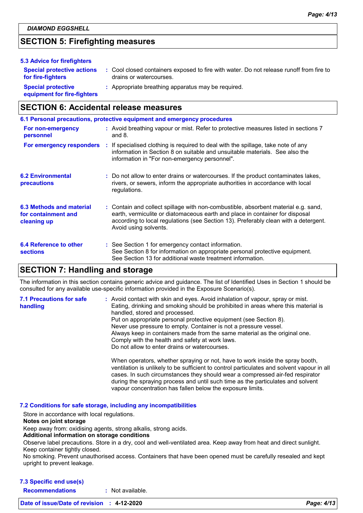# **SECTION 5: Firefighting measures**

| 5.3 Advice for firefighters                              |                                                                                                                    |
|----------------------------------------------------------|--------------------------------------------------------------------------------------------------------------------|
| <b>Special protective actions</b><br>for fire-fighters   | : Cool closed containers exposed to fire with water. Do not release runoff from fire to<br>drains or watercourses. |
| <b>Special protective</b><br>equipment for fire-fighters | : Appropriate breathing apparatus may be required.                                                                 |

# **SECTION 6: Accidental release measures**

|                                                                | 6.1 Personal precautions, protective equipment and emergency procedures                                                                                                                                                                                                            |
|----------------------------------------------------------------|------------------------------------------------------------------------------------------------------------------------------------------------------------------------------------------------------------------------------------------------------------------------------------|
| For non-emergency<br>personnel                                 | : Avoid breathing vapour or mist. Refer to protective measures listed in sections 7<br>and $8.$                                                                                                                                                                                    |
|                                                                | For emergency responders : If specialised clothing is required to deal with the spillage, take note of any<br>information in Section 8 on suitable and unsuitable materials. See also the<br>information in "For non-emergency personnel".                                         |
| <b>6.2 Environmental</b><br>precautions                        | : Do not allow to enter drains or watercourses. If the product contaminates lakes,<br>rivers, or sewers, inform the appropriate authorities in accordance with local<br>regulations.                                                                                               |
| 6.3 Methods and material<br>for containment and<br>cleaning up | : Contain and collect spillage with non-combustible, absorbent material e.g. sand,<br>earth, vermiculite or diatomaceous earth and place in container for disposal<br>according to local regulations (see Section 13). Preferably clean with a detergent.<br>Avoid using solvents. |
| 6.4 Reference to other<br><b>sections</b>                      | : See Section 1 for emergency contact information.<br>See Section 8 for information on appropriate personal protective equipment.<br>See Section 13 for additional waste treatment information.                                                                                    |

## **SECTION 7: Handling and storage**

The information in this section contains generic advice and guidance. The list of Identified Uses in Section 1 should be consulted for any available use-specific information provided in the Exposure Scenario(s).

| <b>7.1 Precautions for safe</b><br>handling | : Avoid contact with skin and eyes. Avoid inhalation of vapour, spray or mist.<br>Eating, drinking and smoking should be prohibited in areas where this material is<br>handled, stored and processed.<br>Put on appropriate personal protective equipment (see Section 8).<br>Never use pressure to empty. Container is not a pressure vessel.<br>Always keep in containers made from the same material as the original one.<br>Comply with the health and safety at work laws.<br>Do not allow to enter drains or watercourses. |
|---------------------------------------------|----------------------------------------------------------------------------------------------------------------------------------------------------------------------------------------------------------------------------------------------------------------------------------------------------------------------------------------------------------------------------------------------------------------------------------------------------------------------------------------------------------------------------------|
|                                             | When operators, whether spraying or not, have to work inside the spray booth,<br>ventilation is unlikely to be sufficient to control particulates and solvent vapour in all<br>cases. In such circumstances they should wear a compressed air-fed respirator                                                                                                                                                                                                                                                                     |

vapour concentration has fallen below the exposure limits.

during the spraying process and until such time as the particulates and solvent

#### **7.2 Conditions for safe storage, including any incompatibilities**

Store in accordance with local regulations.

#### **Notes on joint storage**

Keep away from: oxidising agents, strong alkalis, strong acids.

**Additional information on storage conditions**

Observe label precautions. Store in a dry, cool and well-ventilated area. Keep away from heat and direct sunlight. Keep container tightly closed.

No smoking. Prevent unauthorised access. Containers that have been opened must be carefully resealed and kept upright to prevent leakage.

#### **7.3 Specific end use(s)**

**Recommendations :** Not available.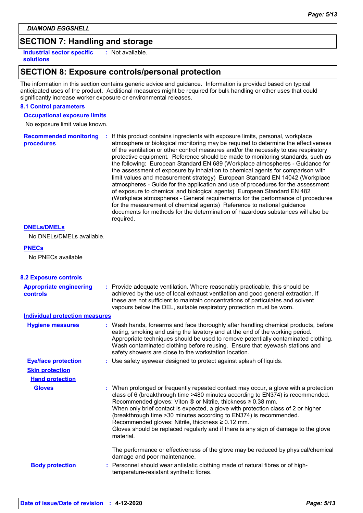# **SECTION 7: Handling and storage**

**Industrial sector specific : solutions**

: Not available.

# **SECTION 8: Exposure controls/personal protection**

The information in this section contains generic advice and guidance. Information is provided based on typical anticipated uses of the product. Additional measures might be required for bulk handling or other uses that could significantly increase worker exposure or environmental releases.

#### **8.1 Control parameters**

**Occupational exposure limits**

No exposure limit value known.

**Recommended monitoring procedures :** If this product contains ingredients with exposure limits, personal, workplace atmosphere or biological monitoring may be required to determine the effectiveness of the ventilation or other control measures and/or the necessity to use respiratory protective equipment. Reference should be made to monitoring standards, such as the following: European Standard EN 689 (Workplace atmospheres - Guidance for the assessment of exposure by inhalation to chemical agents for comparison with limit values and measurement strategy) European Standard EN 14042 (Workplace atmospheres - Guide for the application and use of procedures for the assessment of exposure to chemical and biological agents) European Standard EN 482 (Workplace atmospheres - General requirements for the performance of procedures for the measurement of chemical agents) Reference to national guidance documents for methods for the determination of hazardous substances will also be required.

#### **DNELs/DMELs**

No DNELs/DMELs available.

#### **PNECs**

No PNECs available

| <b>8.2 Exposure controls</b>                      |                                                                                                                                                                                                                                                                                                                                                                                                                                                                                                                                                                  |
|---------------------------------------------------|------------------------------------------------------------------------------------------------------------------------------------------------------------------------------------------------------------------------------------------------------------------------------------------------------------------------------------------------------------------------------------------------------------------------------------------------------------------------------------------------------------------------------------------------------------------|
| <b>Appropriate engineering</b><br><b>controls</b> | : Provide adequate ventilation. Where reasonably practicable, this should be<br>achieved by the use of local exhaust ventilation and good general extraction. If<br>these are not sufficient to maintain concentrations of particulates and solvent<br>vapours below the OEL, suitable respiratory protection must be worn.                                                                                                                                                                                                                                      |
| <b>Individual protection measures</b>             |                                                                                                                                                                                                                                                                                                                                                                                                                                                                                                                                                                  |
| <b>Hygiene measures</b>                           | : Wash hands, forearms and face thoroughly after handling chemical products, before<br>eating, smoking and using the lavatory and at the end of the working period.<br>Appropriate techniques should be used to remove potentially contaminated clothing.<br>Wash contaminated clothing before reusing. Ensure that eyewash stations and<br>safety showers are close to the workstation location.                                                                                                                                                                |
| <b>Eye/face protection</b>                        | : Use safety eyewear designed to protect against splash of liquids.                                                                                                                                                                                                                                                                                                                                                                                                                                                                                              |
| <b>Skin protection</b>                            |                                                                                                                                                                                                                                                                                                                                                                                                                                                                                                                                                                  |
| <b>Hand protection</b>                            |                                                                                                                                                                                                                                                                                                                                                                                                                                                                                                                                                                  |
| <b>Gloves</b>                                     | : When prolonged or frequently repeated contact may occur, a glove with a protection<br>class of 6 (breakthrough time >480 minutes according to EN374) is recommended.<br>Recommended gloves: Viton ® or Nitrile, thickness ≥ 0.38 mm.<br>When only brief contact is expected, a glove with protection class of 2 or higher<br>(breakthrough time > 30 minutes according to EN374) is recommended.<br>Recommended gloves: Nitrile, thickness $\geq 0.12$ mm.<br>Gloves should be replaced regularly and if there is any sign of damage to the glove<br>material. |
| <b>Body protection</b>                            | The performance or effectiveness of the glove may be reduced by physical/chemical<br>damage and poor maintenance.<br>: Personnel should wear antistatic clothing made of natural fibres or of high-<br>temperature-resistant synthetic fibres.                                                                                                                                                                                                                                                                                                                   |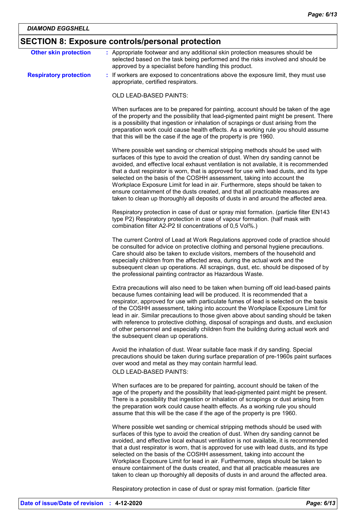# **SECTION 8: Exposure controls/personal protection**

| <b>Other skin protection</b>  | : Appropriate footwear and any additional skin protection measures should be<br>selected based on the task being performed and the risks involved and should be<br>approved by a specialist before handling this product.                                                                                                                                                                                                                                                                                                                                                                                                                                                               |
|-------------------------------|-----------------------------------------------------------------------------------------------------------------------------------------------------------------------------------------------------------------------------------------------------------------------------------------------------------------------------------------------------------------------------------------------------------------------------------------------------------------------------------------------------------------------------------------------------------------------------------------------------------------------------------------------------------------------------------------|
| <b>Respiratory protection</b> | : If workers are exposed to concentrations above the exposure limit, they must use<br>appropriate, certified respirators.                                                                                                                                                                                                                                                                                                                                                                                                                                                                                                                                                               |
|                               | OLD LEAD-BASED PAINTS:                                                                                                                                                                                                                                                                                                                                                                                                                                                                                                                                                                                                                                                                  |
|                               | When surfaces are to be prepared for painting, account should be taken of the age<br>of the property and the possibility that lead-pigmented paint might be present. There<br>is a possibility that ingestion or inhalation of scrapings or dust arising from the<br>preparation work could cause health effects. As a working rule you should assume<br>that this will be the case if the age of the property is pre 1960.                                                                                                                                                                                                                                                             |
|                               | Where possible wet sanding or chemical stripping methods should be used with<br>surfaces of this type to avoid the creation of dust. When dry sanding cannot be<br>avoided, and effective local exhaust ventilation is not available, it is recommended<br>that a dust respirator is worn, that is approved for use with lead dusts, and its type<br>selected on the basis of the COSHH assessment, taking into account the<br>Workplace Exposure Limit for lead in air. Furthermore, steps should be taken to<br>ensure containment of the dusts created, and that all practicable measures are<br>taken to clean up thoroughly all deposits of dusts in and around the affected area. |
|                               | Respiratory protection in case of dust or spray mist formation. (particle filter EN143<br>type P2) Respiratory protection in case of vapour formation. (half mask with<br>combination filter A2-P2 til concentrations of 0,5 Vol%.)                                                                                                                                                                                                                                                                                                                                                                                                                                                     |
|                               | The current Control of Lead at Work Regulations approved code of practice should<br>be consulted for advice on protective clothing and personal hygiene precautions.<br>Care should also be taken to exclude visitors, members of the household and<br>especially children from the affected area, during the actual work and the<br>subsequent clean up operations. All scrapings, dust, etc. should be disposed of by<br>the professional painting contractor as Hazardous Waste.                                                                                                                                                                                                     |
|                               | Extra precautions will also need to be taken when burning off old lead-based paints<br>because fumes containing lead will be produced. It is recommended that a<br>respirator, approved for use with particulate fumes of lead is selected on the basis<br>of the COSHH assessment, taking into account the Workplace Exposure Limit for<br>lead in air. Similar precautions to those given above about sanding should be taken<br>with reference to protective clothing, disposal of scrapings and dusts, and exclusion<br>of other personnel and especially children from the building during actual work and<br>the subsequent clean up operations.                                  |
|                               | Avoid the inhalation of dust. Wear suitable face mask if dry sanding. Special<br>precautions should be taken during surface preparation of pre-1960s paint surfaces<br>over wood and metal as they may contain harmful lead.<br>OLD LEAD-BASED PAINTS:                                                                                                                                                                                                                                                                                                                                                                                                                                  |
|                               | When surfaces are to be prepared for painting, account should be taken of the<br>age of the property and the possibility that lead-pigmented paint might be present.<br>There is a possibility that ingestion or inhalation of scrapings or dust arising from<br>the preparation work could cause health effects. As a working rule you should<br>assume that this will be the case if the age of the property is pre 1960.                                                                                                                                                                                                                                                             |
|                               | Where possible wet sanding or chemical stripping methods should be used with<br>surfaces of this type to avoid the creation of dust. When dry sanding cannot be<br>avoided, and effective local exhaust ventilation is not available, it is recommended<br>that a dust respirator is worn, that is approved for use with lead dusts, and its type<br>selected on the basis of the COSHH assessment, taking into account the<br>Workplace Exposure Limit for lead in air. Furthermore, steps should be taken to<br>ensure containment of the dusts created, and that all practicable measures are<br>taken to clean up thoroughly all deposits of dusts in and around the affected area. |
|                               | Respiratory protection in case of dust or spray mist formation. (particle filter                                                                                                                                                                                                                                                                                                                                                                                                                                                                                                                                                                                                        |

**Date of issue/Date of revision : 4-12-2020** *Page: 6/13*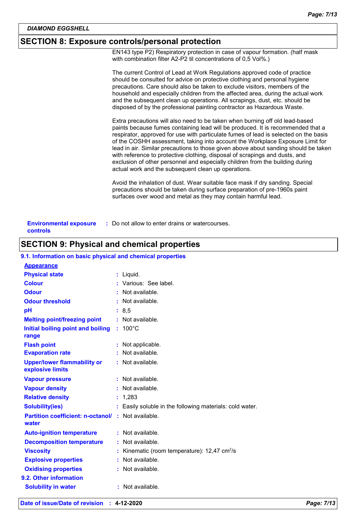# **SECTION 8: Exposure controls/personal protection**

EN143 type P2) Respiratory protection in case of vapour formation. (half mask with combination filter A2-P2 til concentrations of 0,5 Vol%.)

| The current Control of Lead at Work Regulations approved code of practice<br>should be consulted for advice on protective clothing and personal hygiene<br>precautions. Care should also be taken to exclude visitors, members of the<br>household and especially children from the affected area, during the actual work<br>and the subsequent clean up operations. All scrapings, dust, etc. should be<br>disposed of by the professional painting contractor as Hazardous Waste.                                                                                                                                                                    |
|--------------------------------------------------------------------------------------------------------------------------------------------------------------------------------------------------------------------------------------------------------------------------------------------------------------------------------------------------------------------------------------------------------------------------------------------------------------------------------------------------------------------------------------------------------------------------------------------------------------------------------------------------------|
| Extra precautions will also need to be taken when burning off old lead-based<br>paints because fumes containing lead will be produced. It is recommended that a<br>respirator, approved for use with particulate fumes of lead is selected on the basis<br>of the COSHH assessment, taking into account the Workplace Exposure Limit for<br>lead in air. Similar precautions to those given above about sanding should be taken<br>with reference to protective clothing, disposal of scrapings and dusts, and<br>exclusion of other personnel and especially children from the building during<br>actual work and the subsequent clean up operations. |
| Avoid the inhalation of dust. Wear suitable face mask if dry sanding. Special<br>precautions should be taken during surface preparation of pre-1960s paint<br>surfaces over wood and metal as they may contain harmful lead.                                                                                                                                                                                                                                                                                                                                                                                                                           |
|                                                                                                                                                                                                                                                                                                                                                                                                                                                                                                                                                                                                                                                        |

| <b>Environmental exposure</b> | : Do not allow to enter drains or watercourses. |
|-------------------------------|-------------------------------------------------|
| controls                      |                                                 |

# **SECTION 9: Physical and chemical properties**

#### **9.1. Information on basic physical and chemical properties**

| <b>Appearance</b>                                      |                                                          |
|--------------------------------------------------------|----------------------------------------------------------|
| <b>Physical state</b>                                  | : Liquid.                                                |
| <b>Colour</b>                                          | : Various: See label.                                    |
| <b>Odour</b>                                           | $:$ Not available.                                       |
| <b>Odour threshold</b>                                 | : Not available.                                         |
| рH                                                     | : 8, 5                                                   |
| <b>Melting point/freezing point</b>                    | : Not available.                                         |
| Initial boiling point and boiling<br>range             | $: 100^{\circ}$ C                                        |
| <b>Flash point</b>                                     | : Not applicable.                                        |
| <b>Evaporation rate</b>                                | Not available.                                           |
| <b>Upper/lower flammability or</b><br>explosive limits | : Not available.                                         |
| <b>Vapour pressure</b>                                 | : Not available.                                         |
| <b>Vapour density</b>                                  | $:$ Not available.                                       |
| <b>Relative density</b>                                | : 1,283                                                  |
| <b>Solubility(ies)</b>                                 | Easily soluble in the following materials: cold water.   |
| <b>Partition coefficient: n-octanol/</b><br>water      | : Not available.                                         |
| <b>Auto-ignition temperature</b>                       | : Not available.                                         |
| <b>Decomposition temperature</b>                       | : Not available.                                         |
| <b>Viscosity</b>                                       | Kinematic (room temperature): $12,47$ cm <sup>2</sup> /s |
| <b>Explosive properties</b>                            | : Not available.                                         |
| <b>Oxidising properties</b>                            | $:$ Not available.                                       |
| 9.2. Other information                                 |                                                          |
| <b>Solubility in water</b>                             | : Not available.                                         |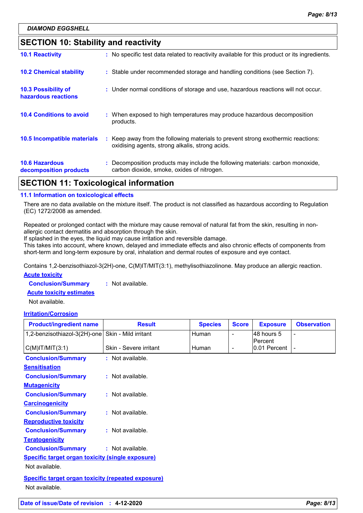# **SECTION 10: Stability and reactivity**

| APATIAN JJ T I I I I I I I I II                 |  |                                                                                                                                     |  |
|-------------------------------------------------|--|-------------------------------------------------------------------------------------------------------------------------------------|--|
| <b>10.6 Hazardous</b><br>decomposition products |  | : Decomposition products may include the following materials: carbon monoxide,<br>carbon dioxide, smoke, oxides of nitrogen.        |  |
| 10.5 Incompatible materials                     |  | : Keep away from the following materials to prevent strong exothermic reactions:<br>oxidising agents, strong alkalis, strong acids. |  |
| <b>10.4 Conditions to avoid</b>                 |  | : When exposed to high temperatures may produce hazardous decomposition<br>products.                                                |  |
| 10.3 Possibility of<br>hazardous reactions      |  | : Under normal conditions of storage and use, hazardous reactions will not occur.                                                   |  |
| <b>10.2 Chemical stability</b>                  |  | : Stable under recommended storage and handling conditions (see Section 7).                                                         |  |
| <b>10.1 Reactivity</b>                          |  | : No specific test data related to reactivity available for this product or its ingredients.                                        |  |

# **SECTION 11: Toxicological information**

#### **11.1 Information on toxicological effects**

There are no data available on the mixture itself. The product is not classified as hazardous according to Regulation (EC) 1272/2008 as amended.

Repeated or prolonged contact with the mixture may cause removal of natural fat from the skin, resulting in nonallergic contact dermatitis and absorption through the skin.

If splashed in the eyes, the liquid may cause irritation and reversible damage.

This takes into account, where known, delayed and immediate effects and also chronic effects of components from short-term and long-term exposure by oral, inhalation and dermal routes of exposure and eye contact.

**Acute toxicity** Contains 1,2-benzisothiazol-3(2H)-one, C(M)IT/MIT(3:1), methylisothiazolinone. May produce an allergic reaction.

**Conclusion/Summary :** Not available.

**Acute toxicity estimates**

Not available.

#### **Irritation/Corrosion**

| <b>Product/ingredient name</b>                          | <b>Result</b>          | <b>Species</b> | <b>Score</b>             | <b>Exposure</b>         | <b>Observation</b> |
|---------------------------------------------------------|------------------------|----------------|--------------------------|-------------------------|--------------------|
| 1,2-benzisothiazol-3(2H)-one                            | Skin - Mild irritant   | Human          | -                        | 48 hours 5              |                    |
| $C(M)$ IT/MIT $(3:1)$                                   | Skin - Severe irritant | <b>Human</b>   | $\overline{\phantom{0}}$ | Percent<br>0.01 Percent |                    |
| <b>Conclusion/Summary</b>                               | : Not available.       |                |                          |                         |                    |
| <b>Sensitisation</b>                                    |                        |                |                          |                         |                    |
| <b>Conclusion/Summary</b>                               | $:$ Not available.     |                |                          |                         |                    |
| <b>Mutagenicity</b>                                     |                        |                |                          |                         |                    |
| <b>Conclusion/Summary</b>                               | : Not available.       |                |                          |                         |                    |
| <b>Carcinogenicity</b>                                  |                        |                |                          |                         |                    |
| <b>Conclusion/Summary</b>                               | : Not available.       |                |                          |                         |                    |
| <b>Reproductive toxicity</b>                            |                        |                |                          |                         |                    |
| <b>Conclusion/Summary</b>                               | : Not available.       |                |                          |                         |                    |
| <b>Teratogenicity</b>                                   |                        |                |                          |                         |                    |
| <b>Conclusion/Summary</b>                               | : Not available.       |                |                          |                         |                    |
| <b>Specific target organ toxicity (single exposure)</b> |                        |                |                          |                         |                    |
| Not available.                                          |                        |                |                          |                         |                    |
| Specific target organ toxicity (repeated exposure)      |                        |                |                          |                         |                    |
| Not available.                                          |                        |                |                          |                         |                    |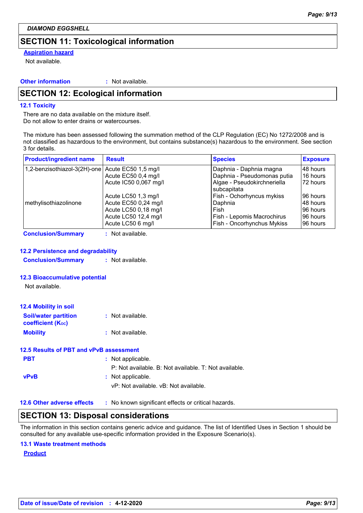# **SECTION 11: Toxicological information**

#### **Aspiration hazard**

Not available.

#### **Other information :**

: Not available.

# **SECTION 12: Ecological information**

#### **12.1 Toxicity**

There are no data available on the mixture itself. Do not allow to enter drains or watercourses.

The mixture has been assessed following the summation method of the CLP Regulation (EC) No 1272/2008 and is not classified as hazardous to the environment, but contains substance(s) hazardous to the environment. See section 3 for details.

| <b>Product/ingredient name</b> | <b>Result</b>         | <b>Species</b>              | <b>Exposure</b> |
|--------------------------------|-----------------------|-----------------------------|-----------------|
| 1,2-benzisothiazol-3(2H)-one   | Acute EC50 1,5 mg/l   | Daphnia - Daphnia magna     | 48 hours        |
|                                | Acute EC50 0,4 mg/l   | Daphnia - Pseudomonas putia | 16 hours        |
|                                | Acute IC50 0,067 mg/l | Algae - Pseudokirchneriella | 72 hours        |
|                                |                       | subcapitata                 |                 |
|                                | Acute LC50 1,3 mg/l   | Fish - Ochorhyncus mykiss   | 96 hours        |
| methylisothiazolinone          | Acute EC50 0,24 mg/l  | Daphnia                     | 48 hours        |
|                                | Acute LC50 0,18 mg/l  | Fish                        | 96 hours        |
|                                | Acute LC50 12,4 mg/l  | Fish - Lepomis Macrochirus  | 96 hours        |
|                                | Acute LC50 6 mg/l     | Fish - Oncorhynchus Mykiss  | 96 hours        |

**Conclusion/Summary :** Not available.

#### **12.2 Persistence and degradability**

**Conclusion/Summary :** Not available.

#### **12.3 Bioaccumulative potential**

Not available.

| <b>12.4 Mobility in soil</b>                            |                  |
|---------------------------------------------------------|------------------|
| <b>Soil/water partition</b><br><b>coefficient (Koc)</b> | : Not available. |
| <b>Mobility</b>                                         | : Not available. |

#### **12.5 Results of PBT and vPvB assessment**

| <b>PBT</b>  | : Not applicable.                                     |
|-------------|-------------------------------------------------------|
|             | P: Not available. B: Not available. T: Not available. |
| <b>vPvB</b> | : Not applicable.                                     |
|             | vP: Not available. vB: Not available.                 |
|             |                                                       |

**12.6 Other adverse effects** : No known significant effects or critical hazards.

## **SECTION 13: Disposal considerations**

The information in this section contains generic advice and guidance. The list of Identified Uses in Section 1 should be consulted for any available use-specific information provided in the Exposure Scenario(s).

#### **13.1 Waste treatment methods**

**Product**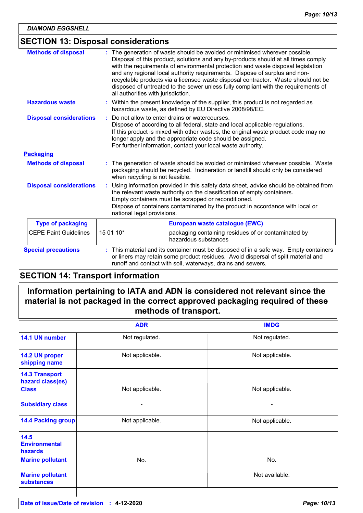# **SECTION 13: Disposal considerations**

| <b>Methods of disposal</b>     | : The generation of waste should be avoided or minimised wherever possible.<br>Disposal of this product, solutions and any by-products should at all times comply<br>with the requirements of environmental protection and waste disposal legislation<br>and any regional local authority requirements. Dispose of surplus and non-<br>recyclable products via a licensed waste disposal contractor. Waste should not be<br>disposed of untreated to the sewer unless fully compliant with the requirements of<br>all authorities with jurisdiction. |
|--------------------------------|------------------------------------------------------------------------------------------------------------------------------------------------------------------------------------------------------------------------------------------------------------------------------------------------------------------------------------------------------------------------------------------------------------------------------------------------------------------------------------------------------------------------------------------------------|
| <b>Hazardous waste</b>         | : Within the present knowledge of the supplier, this product is not regarded as<br>hazardous waste, as defined by EU Directive 2008/98/EC.                                                                                                                                                                                                                                                                                                                                                                                                           |
| <b>Disposal considerations</b> | Do not allow to enter drains or watercourses.<br>÷.<br>Dispose of according to all federal, state and local applicable regulations.<br>If this product is mixed with other wastes, the original waste product code may no<br>longer apply and the appropriate code should be assigned.<br>For further information, contact your local waste authority.                                                                                                                                                                                               |
| <b>Packaging</b>               |                                                                                                                                                                                                                                                                                                                                                                                                                                                                                                                                                      |
| <b>Methods of disposal</b>     | : The generation of waste should be avoided or minimised wherever possible. Waste<br>packaging should be recycled. Incineration or landfill should only be considered<br>when recycling is not feasible.                                                                                                                                                                                                                                                                                                                                             |
| <b>Disposal considerations</b> | Using information provided in this safety data sheet, advice should be obtained from<br>÷.<br>the relevant waste authority on the classification of empty containers.<br>Empty containers must be scrapped or reconditioned.<br>Dispose of containers contaminated by the product in accordance with local or<br>national legal provisions.                                                                                                                                                                                                          |
| <b>Type of packaging</b>       | European waste catalogue (EWC)                                                                                                                                                                                                                                                                                                                                                                                                                                                                                                                       |
| <b>CEPE Paint Guidelines</b>   | 15 01 10*<br>packaging containing residues of or contaminated by<br>hazardous substances                                                                                                                                                                                                                                                                                                                                                                                                                                                             |
| <b>Special precautions</b>     | : This material and its container must be disposed of in a safe way. Empty containers<br>or liners may retain some product residues. Avoid dispersal of spilt material and<br>runoff and contact with soil, waterways, drains and sewers.                                                                                                                                                                                                                                                                                                            |

## **SECTION 14: Transport information**

# **Information pertaining to IATA and ADN is considered not relevant since the material is not packaged in the correct approved packaging required of these methods of transport.**

|                                                                    | <b>ADR</b>      | <b>IMDG</b>     |
|--------------------------------------------------------------------|-----------------|-----------------|
| 14.1 UN number                                                     | Not regulated.  | Not regulated.  |
| 14.2 UN proper<br>shipping name                                    | Not applicable. | Not applicable. |
| <b>14.3 Transport</b><br>hazard class(es)<br><b>Class</b>          | Not applicable. | Not applicable. |
| <b>Subsidiary class</b>                                            | -               |                 |
| <b>14.4 Packing group</b>                                          | Not applicable. | Not applicable. |
| 14.5<br><b>Environmental</b><br>hazards<br><b>Marine pollutant</b> | No.             | No.             |
| <b>Marine pollutant</b><br><b>substances</b>                       |                 | Not available.  |
|                                                                    |                 |                 |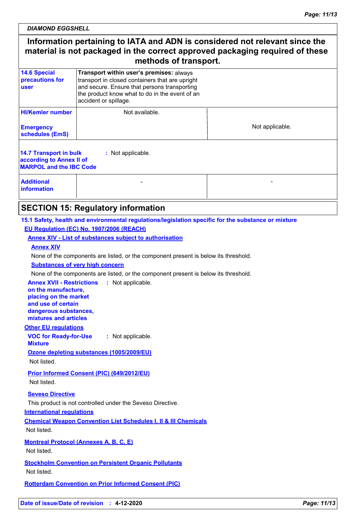*DIAMOND EGGSHELL*

# **Information pertaining to IATA and ADN is considered not relevant since the material is not packaged in the correct approved packaging required of these methods of transport.**

| <b>14.6 Special</b><br>precautions for<br>user                                              | Transport within user's premises: always<br>transport in closed containers that are upright<br>and secure. Ensure that persons transporting<br>the product know what to do in the event of an<br>accident or spillage. |                 |  |
|---------------------------------------------------------------------------------------------|------------------------------------------------------------------------------------------------------------------------------------------------------------------------------------------------------------------------|-----------------|--|
| <b>HI/Kemler number</b><br><b>Emergency</b><br>schedules (EmS)                              | Not available.                                                                                                                                                                                                         | Not applicable. |  |
| <b>14.7 Transport in bulk</b><br>according to Annex II of<br><b>MARPOL and the IBC Code</b> | : Not applicable.                                                                                                                                                                                                      |                 |  |
| <b>Additional</b><br><b>information</b>                                                     |                                                                                                                                                                                                                        |                 |  |

# **SECTION 15: Regulatory information**

#### **15.1 Safety, health and environmental regulations/legislation specific for the substance or mixture EU Regulation (EC) No. 1907/2006 (REACH)**

#### **Annex XIV - List of substances subject to authorisation**

#### **Annex XIV**

None of the components are listed, or the component present is below its threshold.

#### **Substances of very high concern**

None of the components are listed, or the component present is below its threshold.

**Annex XVII - Restrictions :** Not applicable. **on the manufacture,**

**placing on the market and use of certain dangerous substances, mixtures and articles**

#### **Other EU regulations**

**VOC for Ready-for-Use Mixture :** Not applicable.

**Ozone depleting substances (1005/2009/EU)**

Not listed.

**Prior Informed Consent (PIC) (649/2012/EU)** Not listed.

#### **Seveso Directive**

This product is not controlled under the Seveso Directive.

#### **International regulations**

**Chemical Weapon Convention List Schedules I, II & III Chemicals** Not listed.

**Montreal Protocol (Annexes A, B, C, E)** Not listed.

**Stockholm Convention on Persistent Organic Pollutants** Not listed.

**Rotterdam Convention on Prior Informed Consent (PIC)**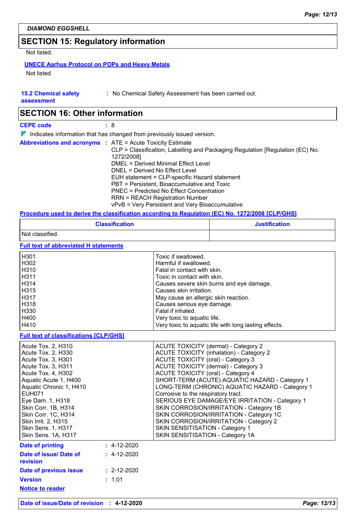# **SECTION 15: Regulatory information**

Not listed.

### **UNECE Aarhus Protocol on POPs and Heavy Metals**

Not listed.

| <b>15.2 Chemical safety</b> |  |
|-----------------------------|--|
|-----------------------------|--|

**:** No Chemical Safety Assessment has been carried out.

**assessment**

# **SECTION 16: Other information**

**CEPE code :** 8

 $\nabla$  Indicates information that has changed from previously issued version.

| <b>Abbreviations and acronyms : ATE = Acute Toxicity Estimate</b><br>CLP = Classification, Labelling and Packaging Regulation [Regulation (EC) No.<br>1272/2008]<br>DMEL = Derived Minimal Effect Level<br>DNEL = Derived No Effect Level<br>EUH statement = CLP-specific Hazard statement<br>PBT = Persistent, Bioaccumulative and Toxic<br><b>PNEC</b> = Predicted No Effect Concentration<br><b>RRN = REACH Registration Number</b> |  |
|----------------------------------------------------------------------------------------------------------------------------------------------------------------------------------------------------------------------------------------------------------------------------------------------------------------------------------------------------------------------------------------------------------------------------------------|--|
| vPvB = Very Persistent and Very Bioaccumulative                                                                                                                                                                                                                                                                                                                                                                                        |  |

#### **Procedure used to derive the classification according to Regulation (EC) No. 1272/2008 [CLP/GHS]**

| <b>Classification</b>                                                                                                                                                                                                                                                                                                 | <b>Justification</b>                                                                                                                                                                                                                                                                                                                                                                                                                                                                                                                                                                                                                         |
|-----------------------------------------------------------------------------------------------------------------------------------------------------------------------------------------------------------------------------------------------------------------------------------------------------------------------|----------------------------------------------------------------------------------------------------------------------------------------------------------------------------------------------------------------------------------------------------------------------------------------------------------------------------------------------------------------------------------------------------------------------------------------------------------------------------------------------------------------------------------------------------------------------------------------------------------------------------------------------|
| Not classified.                                                                                                                                                                                                                                                                                                       |                                                                                                                                                                                                                                                                                                                                                                                                                                                                                                                                                                                                                                              |
| <b>Full text of abbreviated H statements</b>                                                                                                                                                                                                                                                                          |                                                                                                                                                                                                                                                                                                                                                                                                                                                                                                                                                                                                                                              |
| H301<br>H302<br>H310<br>H311<br>H314<br>H315<br>H317<br>H318<br>H330<br>H400<br>H410                                                                                                                                                                                                                                  | Toxic if swallowed.<br>Harmful if swallowed.<br>Fatal in contact with skin.<br>Toxic in contact with skin.<br>Causes severe skin burns and eye damage.<br>Causes skin irritation.<br>May cause an allergic skin reaction.<br>Causes serious eye damage.<br>Fatal if inhaled.<br>Very toxic to aquatic life.<br>Very toxic to aquatic life with long lasting effects.                                                                                                                                                                                                                                                                         |
| <b>Full text of classifications [CLP/GHS]</b>                                                                                                                                                                                                                                                                         |                                                                                                                                                                                                                                                                                                                                                                                                                                                                                                                                                                                                                                              |
| Acute Tox. 2, H310<br>Acute Tox. 2, H330<br>Acute Tox. 3, H301<br>Acute Tox. 3, H311<br>Acute Tox. 4, H302<br>Aquatic Acute 1, H400<br>Aquatic Chronic 1, H410<br><b>EUH071</b><br>Eye Dam. 1, H318<br>Skin Corr. 1B, H314<br>Skin Corr. 1C, H314<br>Skin Irrit. 2, H315<br>Skin Sens. 1, H317<br>Skin Sens. 1A, H317 | <b>ACUTE TOXICITY (dermal) - Category 2</b><br><b>ACUTE TOXICITY (inhalation) - Category 2</b><br><b>ACUTE TOXICITY (oral) - Category 3</b><br><b>ACUTE TOXICITY (dermal) - Category 3</b><br><b>ACUTE TOXICITY (oral) - Category 4</b><br>SHORT-TERM (ACUTE) AQUATIC HAZARD - Category 1<br>LONG-TERM (CHRONIC) AQUATIC HAZARD - Category 1<br>Corrosive to the respiratory tract.<br>SERIOUS EYE DAMAGE/EYE IRRITATION - Category 1<br>SKIN CORROSION/IRRITATION - Category 1B<br>SKIN CORROSION/IRRITATION - Category 1C<br>SKIN CORROSION/IRRITATION - Category 2<br>SKIN SENSITISATION - Category 1<br>SKIN SENSITISATION - Category 1A |
| $: 4-12-2020$<br><b>Date of printing</b><br>Date of issue/ Date of<br>$: 4-12-2020$<br>revision<br>Date of previous issue<br>$: 2 - 12 - 2020$                                                                                                                                                                        |                                                                                                                                                                                                                                                                                                                                                                                                                                                                                                                                                                                                                                              |
| : 1.01<br><b>Version</b><br><b>Notice to reader</b>                                                                                                                                                                                                                                                                   |                                                                                                                                                                                                                                                                                                                                                                                                                                                                                                                                                                                                                                              |